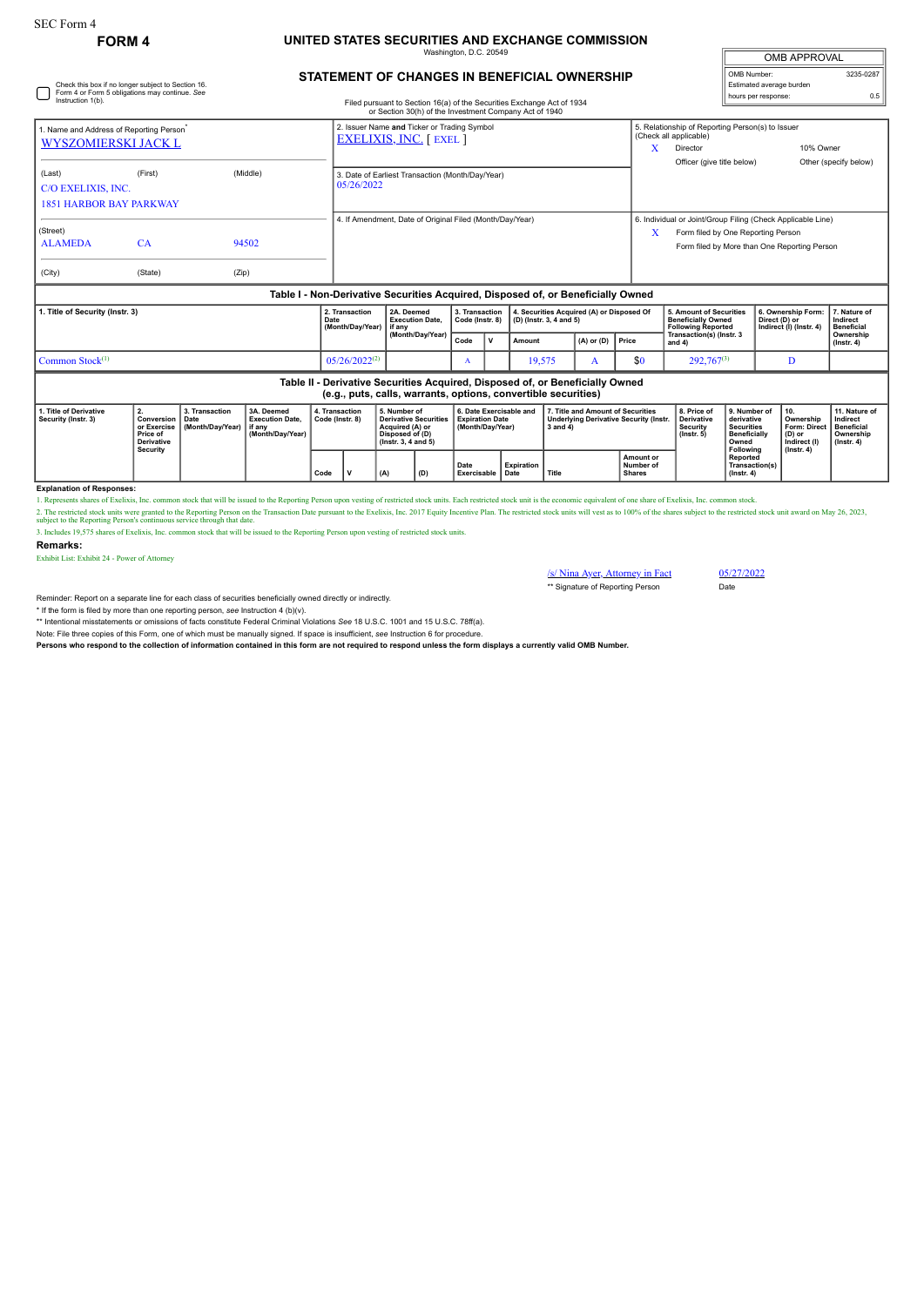Check this box if no longer subject to Section 16. Form 4 or Form 5 obligations may continue. *See*

## **FORM 4 UNITED STATES SECURITIES AND EXCHANGE COMMISSION** inaton, D.C. 20

| <b>OMB APPROVAL</b>      |           |  |  |  |  |  |  |  |
|--------------------------|-----------|--|--|--|--|--|--|--|
| OMB Number:              | 3235-0287 |  |  |  |  |  |  |  |
| Estimated average burden |           |  |  |  |  |  |  |  |
| hours per response:      | 0.5       |  |  |  |  |  |  |  |

## **STATEMENT OF CHANGES IN BENEFICIAL OWNERSHIP**

| Instruction 1(b).                                                                                                                               |                                                                              |                                            |                                                                                  |      |                                                                               |                                                                    |                                                                                                                 |                                           |                                                                       | Filed pursuant to Section 16(a) of the Securities Exchange Act of 1934<br>or Section 30(h) of the Investment Company Act of 1940 |                         |                                                                                                    |                                                                                                                                                   |                                                                                                               |                                                                                              | noare per reepenee |                                                                                       |                                                                                 |  |
|-------------------------------------------------------------------------------------------------------------------------------------------------|------------------------------------------------------------------------------|--------------------------------------------|----------------------------------------------------------------------------------|------|-------------------------------------------------------------------------------|--------------------------------------------------------------------|-----------------------------------------------------------------------------------------------------------------|-------------------------------------------|-----------------------------------------------------------------------|----------------------------------------------------------------------------------------------------------------------------------|-------------------------|----------------------------------------------------------------------------------------------------|---------------------------------------------------------------------------------------------------------------------------------------------------|---------------------------------------------------------------------------------------------------------------|----------------------------------------------------------------------------------------------|--------------------|---------------------------------------------------------------------------------------|---------------------------------------------------------------------------------|--|
| 1. Name and Address of Reporting Person <sup>*</sup><br><b>WYSZOMIERSKI JACK L</b>                                                              |                                                                              |                                            |                                                                                  |      | 2. Issuer Name and Ticker or Trading Symbol<br><b>EXELIXIS, INC.</b> [ EXEL ] |                                                                    |                                                                                                                 |                                           |                                                                       |                                                                                                                                  |                         |                                                                                                    | X                                                                                                                                                 | 5. Relationship of Reporting Person(s) to Issuer<br>(Check all applicable)<br>10% Owner<br>Director           |                                                                                              |                    |                                                                                       |                                                                                 |  |
| (Last)<br>C/O EXELIXIS, INC.<br><b>1851 HARBOR BAY PARKWAY</b>                                                                                  | (First)                                                                      |                                            | (Middle)                                                                         |      | 3. Date of Earliest Transaction (Month/Day/Year)<br>05/26/2022                |                                                                    |                                                                                                                 |                                           |                                                                       |                                                                                                                                  |                         |                                                                                                    |                                                                                                                                                   | Officer (give title below)                                                                                    |                                                                                              |                    |                                                                                       | Other (specify below)                                                           |  |
| (Street)<br><b>ALAMEDA</b><br>(City)                                                                                                            | CA<br>(State)                                                                | (Zip)                                      | 94502                                                                            |      | 4. If Amendment, Date of Original Filed (Month/Day/Year)                      |                                                                    |                                                                                                                 |                                           |                                                                       |                                                                                                                                  |                         | X                                                                                                  | 6. Individual or Joint/Group Filing (Check Applicable Line)<br>Form filed by One Reporting Person<br>Form filed by More than One Reporting Person |                                                                                                               |                                                                                              |                    |                                                                                       |                                                                                 |  |
|                                                                                                                                                 |                                                                              |                                            | Table I - Non-Derivative Securities Acquired, Disposed of, or Beneficially Owned |      |                                                                               |                                                                    |                                                                                                                 |                                           |                                                                       |                                                                                                                                  |                         |                                                                                                    |                                                                                                                                                   |                                                                                                               |                                                                                              |                    |                                                                                       |                                                                                 |  |
| 1. Title of Security (Instr. 3)                                                                                                                 |                                                                              |                                            |                                                                                  | Date | 2. Transaction<br>(Month/Dav/Year)                                            | 2A. Deemed<br><b>Execution Date.</b><br>if anv<br>(Month/Day/Year) |                                                                                                                 | 3. Transaction<br>Code (Instr. 8)<br>Code |                                                                       |                                                                                                                                  | (D) (Instr. 3, 4 and 5) | 4. Securities Acquired (A) or Disposed Of                                                          |                                                                                                                                                   | 5. Amount of Securities<br><b>Beneficially Owned</b><br><b>Following Reported</b><br>Transaction(s) (Instr. 3 |                                                                                              |                    | 6. Ownership Form:<br>Direct (D) or<br>Indirect (I) (Instr. 4)                        | 7. Nature of<br>Indirect<br><b>Beneficial</b><br>Ownership                      |  |
|                                                                                                                                                 |                                                                              |                                            |                                                                                  |      |                                                                               |                                                                    |                                                                                                                 |                                           | v                                                                     | $(A)$ or $(D)$<br>Amount                                                                                                         |                         | Price                                                                                              | and 4)                                                                                                                                            |                                                                                                               |                                                                                              |                    | $($ Instr. 4 $)$                                                                      |                                                                                 |  |
| Common Stock <sup>(1)</sup>                                                                                                                     |                                                                              |                                            |                                                                                  |      | $05/26/2022^{(2)}$                                                            |                                                                    | A                                                                                                               |                                           | 19,575<br>A                                                           |                                                                                                                                  | \$0                     | $292,767^{(3)}$                                                                                    |                                                                                                                                                   | D                                                                                                             |                                                                                              |                    |                                                                                       |                                                                                 |  |
| Table II - Derivative Securities Acquired, Disposed of, or Beneficially Owned<br>(e.g., puts, calls, warrants, options, convertible securities) |                                                                              |                                            |                                                                                  |      |                                                                               |                                                                    |                                                                                                                 |                                           |                                                                       |                                                                                                                                  |                         |                                                                                                    |                                                                                                                                                   |                                                                                                               |                                                                                              |                    |                                                                                       |                                                                                 |  |
| 1. Title of Derivative<br>Security (Instr. 3)                                                                                                   | 2.<br>Conversion<br>or Exercise<br>Price of<br><b>Derivative</b><br>Security | 3. Transaction<br>Date<br>(Month/Day/Year) | 3A. Deemed<br><b>Execution Date.</b><br>if anv<br>(Month/Dav/Year)               |      | 4. Transaction<br>Code (Instr. 8)                                             |                                                                    | 5. Number of<br><b>Derivative Securities</b><br>Acquired (A) or<br>Disposed of (D)<br>$($ lnstr. 3, 4 and 5 $)$ |                                           | 6. Date Exercisable and<br><b>Expiration Date</b><br>(Month/Day/Year) |                                                                                                                                  |                         | 7. Title and Amount of Securities<br><b>Underlying Derivative Security (Instr.</b><br>$3$ and $4)$ |                                                                                                                                                   | 8. Price of<br><b>Derivative</b><br><b>Security</b><br>$($ lnstr $, 5)$                                       | 9. Number of<br>derivative<br><b>Securities</b><br><b>Beneficially</b><br>Owned<br>Following |                    | 10.<br>Ownership<br><b>Form: Direct</b><br>(D) or<br>Indirect (I)<br>$($ Instr. 4 $)$ | 11. Nature of<br>Indirect<br><b>Beneficial</b><br>Ownership<br>$($ Instr. 4 $)$ |  |
|                                                                                                                                                 |                                                                              |                                            |                                                                                  | Code | v                                                                             | (D)                                                                | Date                                                                                                            | <b>Expiration</b><br>Exercisable Date     |                                                                       | Title                                                                                                                            |                         | Amount or<br>Number of<br><b>Shares</b>                                                            |                                                                                                                                                   | Reported<br>Transaction(s)<br>$($ Instr. 4 $)$                                                                |                                                                                              |                    |                                                                                       |                                                                                 |  |

**Explanation of Responses:**

1. Represents shares of Exelixis, Inc. common stock that will be issued to the Reporting Person upon vesting of restricted stock units. Each restricted stock unit is the economic equivalent of one share of Exelixis, Inc. c

2. The restricted stock units were granted to the Reporting Person on the Transaction Date pursuant to the Exelixis, Inc. 2017 Equity Incentive Plan. The restricted stock units will vest as to 100% of the shares subject to

**Remarks:**

Exhibit List: Exhibit 24 - Power of Attorney

 $\frac{\sqrt{s}}{2}$  Nina Ayer, Attorney in Fact 05/27/2022 \*\* Signature of Reporting Person Date

Reminder: Report on a separate line for each class of securities beneficially owned directly or indirectly.

\* If the form is filed by more than one reporting person, *see* Instruction 4 (b)(v).

\*\* Intentional misstatements or omissions of facts constitute Federal Criminal Violations *See* 18 U.S.C. 1001 and 15 U.S.C. 78ff(a).

Note: File three copies of this Form, one of which must be manually signed. If space is insufficient, *see* Instruction 6 for procedure. **Persons who respond to the collection of information contained in this form are not required to respond unless the form displays a currently valid OMB Number.**